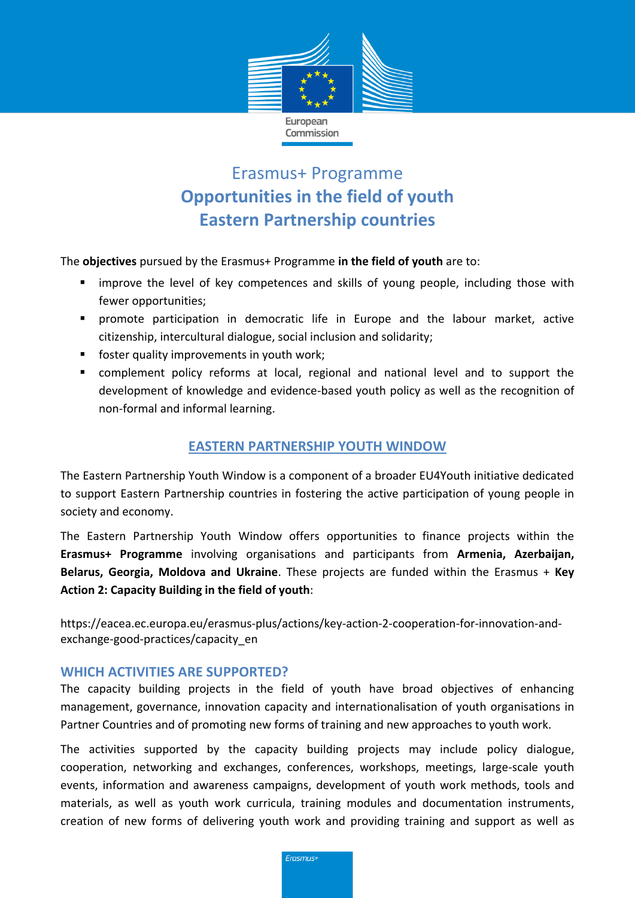

# Erasmus+ Programme **Opportunities in the field of youth Eastern Partnership countries**

The **objectives** pursued by the Erasmus+ Programme **in the field of youth** are to:

- **EXT** improve the level of key competences and skills of young people, including those with fewer opportunities;
- promote participation in democratic life in Europe and the labour market, active citizenship, intercultural dialogue, social inclusion and solidarity;
- **foster quality improvements in youth work;**
- complement policy reforms at local, regional and national level and to support the development of knowledge and evidence-based youth policy as well as the recognition of non-formal and informal learning.

## **EASTERN PARTNERSHIP YOUTH WINDOW**

The Eastern Partnership Youth Window is a component of a broader EU4Youth initiative dedicated to support Eastern Partnership countries in fostering the active participation of young people in society and economy.

The Eastern Partnership Youth Window offers opportunities to finance projects within the **Erasmus+ Programme** involving organisations and participants from **Armenia, Azerbaijan, Belarus, Georgia, Moldova and Ukraine**. These projects are funded within the Erasmus + **Key Action 2: Capacity Building in the field of youth**:

https://eacea.ec.europa.eu/erasmus-plus/actions/key-action-2-cooperation-for-innovation-andexchange-good-practices/capacity\_en

#### **WHICH ACTIVITIES ARE SUPPORTED?**

The capacity building projects in the field of youth have broad objectives of enhancing management, governance, innovation capacity and internationalisation of youth organisations in Partner Countries and of promoting new forms of training and new approaches to youth work.

The activities supported by the capacity building projects may include policy dialogue, cooperation, networking and exchanges, conferences, workshops, meetings, large-scale youth events, information and awareness campaigns, development of youth work methods, tools and materials, as well as youth work curricula, training modules and documentation instruments, creation of new forms of delivering youth work and providing training and support as well as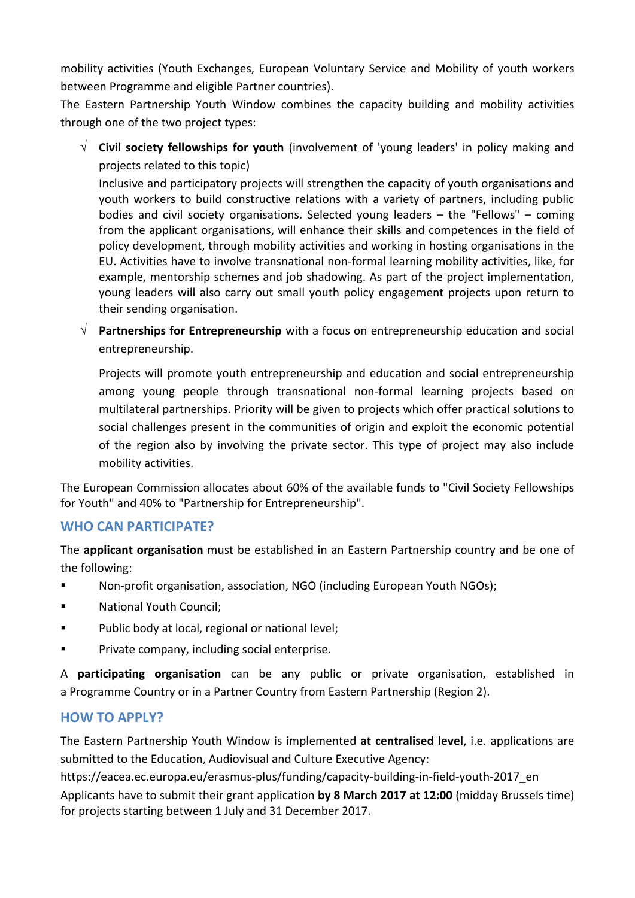mobility activities (Youth Exchanges, European Voluntary Service and Mobility of youth workers between Programme and eligible Partner countries).

The Eastern Partnership Youth Window combines the capacity building and mobility activities through one of the two project types:

 **Civil society fellowships for youth** (involvement of 'young leaders' in policy making and projects related to this topic)

Inclusive and participatory projects will strengthen the capacity of youth organisations and youth workers to build constructive relations with a variety of partners, including public bodies and civil society organisations. Selected young leaders – the "Fellows" – coming from the applicant organisations, will enhance their skills and competences in the field of policy development, through mobility activities and working in hosting organisations in the EU. Activities have to involve transnational non-formal learning mobility activities, like, for example, mentorship schemes and job shadowing. As part of the project implementation, young leaders will also carry out small youth policy engagement projects upon return to their sending organisation.

 **Partnerships for Entrepreneurship** with a focus on entrepreneurship education and social entrepreneurship.

Projects will promote youth entrepreneurship and education and social entrepreneurship among young people through transnational non-formal learning projects based on multilateral partnerships. Priority will be given to projects which offer practical solutions to social challenges present in the communities of origin and exploit the economic potential of the region also by involving the private sector. This type of project may also include mobility activities.

The European Commission allocates about 60% of the available funds to "Civil Society Fellowships for Youth" and 40% to "Partnership for Entrepreneurship".

## **WHO CAN PARTICIPATE?**

The **applicant organisation** must be established in an Eastern Partnership country and be one of the following:

- Non-profit organisation, association, NGO (including European Youth NGOs);
- National Youth Council:
- **Public body at local, regional or national level;**
- **Private company, including social enterprise.**

A **participating organisation** can be any public or private organisation, established in a Programme Country or in a Partner Country from Eastern Partnership (Region 2).

## **HOW TO APPLY?**

The Eastern Partnership Youth Window is implemented **at centralised level**, i.e. applications are submitted to the Education, Audiovisual and Culture Executive Agency:

https://eacea.ec.europa.eu/erasmus-plus/funding/capacity-building-in-field-youth-2017\_en

Applicants have to submit their grant application **by 8 March 2017 at 12:00** (midday Brussels time) for projects starting between 1 July and 31 December 2017.